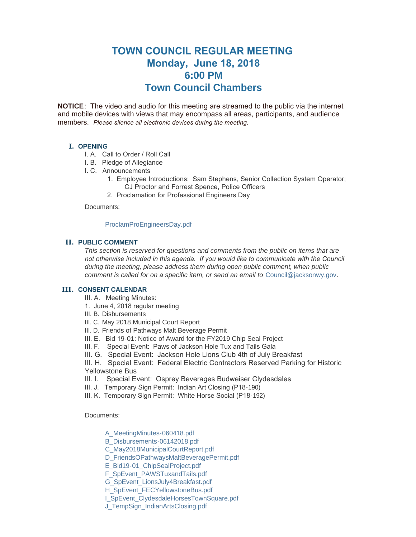# **TOWN COUNCIL REGULAR MEETING Monday, June 18, 2018 6:00 PM Town Council Chambers**

**NOTICE**: The video and audio for this meeting are streamed to the public via the internet and mobile devices with views that may encompass all areas, participants, and audience members. *Please silence all electronic devices during the meeting.* 

# **I. OPENING**

- I. A. Call to Order / Roll Call
- I. B. Pledge of Allegiance
- I. C. Announcements
	- 1. Employee Introductions: Sam Stephens, Senior Collection System Operator; CJ Proctor and Forrest Spence, Police Officers
	- 2. Proclamation for Professional Engineers Day

Documents:

## [ProclamProEngineersDay.pdf](http://www.jacksonwy.gov/AgendaCenter/ViewFile/Item/1252?fileID=3742)

## **PUBLIC COMMENT II.**

*This section is reserved for questions and comments from the public on items that are*  not otherwise included in this agenda. If you would like to communicate with the Council *during the meeting, please address them during open public comment, when public comment is called for on a specific item, or send an email to* [Council@jacksonwy.gov](mailto:)*.*

## **CONSENT CALENDAR III.**

- III. A. Meeting Minutes:
- 1. June 4, 2018 regular meeting
- III. B. Disbursements
- III. C. May 2018 Municipal Court Report
- III. D. Friends of Pathways Malt Beverage Permit
- III. E. Bid 19-01: Notice of Award for the FY2019 Chip Seal Project
- III. F. Special Event: Paws of Jackson Hole Tux and Tails Gala
- III. G. Special Event: Jackson Hole Lions Club 4th of July Breakfast
- III. H. Special Event: Federal Electric Contractors Reserved Parking for Historic Yellowstone Bus
- III. I. Special Event: Osprey Beverages Budweiser Clydesdales
- III. J. Temporary Sign Permit: Indian Art Closing (P18-190)
- III. K. Temporary Sign Permit: White Horse Social (P18-192)

Documents:

- [A\\_MeetingMinutes-060418.pdf](http://www.jacksonwy.gov/AgendaCenter/ViewFile/Item/1237?fileID=3743)
- [B\\_Disbursements-06142018.pdf](http://www.jacksonwy.gov/AgendaCenter/ViewFile/Item/1237?fileID=3744)
- [C\\_May2018MunicipalCourtReport.pdf](http://www.jacksonwy.gov/AgendaCenter/ViewFile/Item/1237?fileID=3745)
- [D\\_FriendsOPathwaysMaltBeveragePermit.pdf](http://www.jacksonwy.gov/AgendaCenter/ViewFile/Item/1237?fileID=3746)
- [E\\_Bid19-01\\_ChipSealProject.pdf](http://www.jacksonwy.gov/AgendaCenter/ViewFile/Item/1237?fileID=3747)
- [F\\_SpEvent\\_PAWSTuxandTails.pdf](http://www.jacksonwy.gov/AgendaCenter/ViewFile/Item/1237?fileID=3748)
- [G\\_SpEvent\\_LionsJuly4Breakfast.pdf](http://www.jacksonwy.gov/AgendaCenter/ViewFile/Item/1237?fileID=3749)
- [H\\_SpEvent\\_FECYellowstoneBus.pdf](http://www.jacksonwy.gov/AgendaCenter/ViewFile/Item/1237?fileID=3750)
- [I\\_SpEvent\\_ClydesdaleHorsesTownSquare.pdf](http://www.jacksonwy.gov/AgendaCenter/ViewFile/Item/1237?fileID=3759)
- [J\\_TempSign\\_IndianArtsClosing.pdf](http://www.jacksonwy.gov/AgendaCenter/ViewFile/Item/1237?fileID=3751)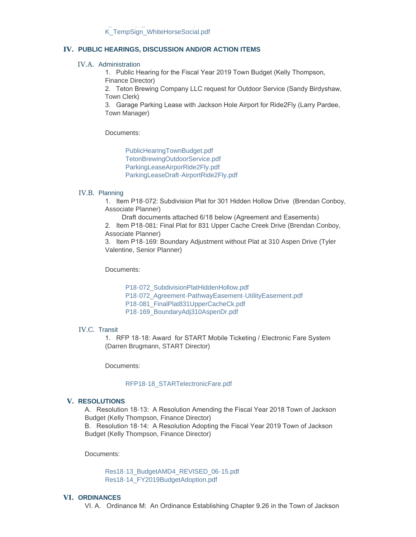## **PUBLIC HEARINGS, DISCUSSION AND/OR ACTION ITEMS IV.**

#### IV.A. Administration

1. Public Hearing for the Fiscal Year 2019 Town Budget (Kelly Thompson, Finance Director)

2. Teton Brewing Company LLC request for Outdoor Service (Sandy Birdyshaw, Town Clerk)

3. Garage Parking Lease with Jackson Hole Airport for Ride2Fly (Larry Pardee, Town Manager)

Documents:

[PublicHearingTownBudget.pdf](http://www.jacksonwy.gov/AgendaCenter/ViewFile/Item/1242?fileID=3720) [TetonBrewingOutdoorService.pdf](http://www.jacksonwy.gov/AgendaCenter/ViewFile/Item/1242?fileID=3721) [ParkingLeaseAirporRide2Fly.pdf](http://www.jacksonwy.gov/AgendaCenter/ViewFile/Item/1242?fileID=3734) [ParkingLeaseDraft-AirportRide2Fly.pdf](http://www.jacksonwy.gov/AgendaCenter/ViewFile/Item/1242?fileID=3765)

#### IV.B. Planning

1. Item P18-072: Subdivision Plat for 301 Hidden Hollow Drive (Brendan Conboy, Associate Planner)

Draft documents attached 6/18 below (Agreement and Easements)

2. Item P18-081: Final Plat for 831 Upper Cache Creek Drive (Brendan Conboy, Associate Planner)

3. Item P18-169: Boundary Adjustment without Plat at 310 Aspen Drive (Tyler Valentine, Senior Planner)

Documents:

[P18-072\\_SubdivisionPlatHiddenHollow.pdf](http://www.jacksonwy.gov/AgendaCenter/ViewFile/Item/1243?fileID=3735) [P18-072\\_Agreement-PathwayEasement-UtilityEasement.pdf](http://www.jacksonwy.gov/AgendaCenter/ViewFile/Item/1243?fileID=3764) [P18-081\\_FinalPlat831UpperCacheCk.pdf](http://www.jacksonwy.gov/AgendaCenter/ViewFile/Item/1243?fileID=3736) [P18-169\\_BoundaryAdj310AspenDr.pdf](http://www.jacksonwy.gov/AgendaCenter/ViewFile/Item/1243?fileID=3737)

#### IV.C. Transit

1. RFP 18-18: Award for START Mobile Ticketing / Electronic Fare System (Darren Brugmann, START Director)

Documents:

## [RFP18-18\\_STARTelectronicFare.pdf](http://www.jacksonwy.gov/AgendaCenter/ViewFile/Item/1241?fileID=3738)

#### **RESOLUTIONS V.**

A. Resolution 18-13: A Resolution Amending the Fiscal Year 2018 Town of Jackson Budget (Kelly Thompson, Finance Director)

B. Resolution 18-14: A Resolution Adopting the Fiscal Year 2019 Town of Jackson Budget (Kelly Thompson, Finance Director)

Documents:

[Res18-13\\_BudgetAMD4\\_REVISED\\_06-15.pdf](http://www.jacksonwy.gov/AgendaCenter/ViewFile/Item/1244?fileID=3753) [Res18-14\\_FY2019BudgetAdoption.pdf](http://www.jacksonwy.gov/AgendaCenter/ViewFile/Item/1244?fileID=3722)

## **ORDINANCES VI.**

VI. A. Ordinance M: An Ordinance Establishing Chapter 9.26 in the Town of Jackson